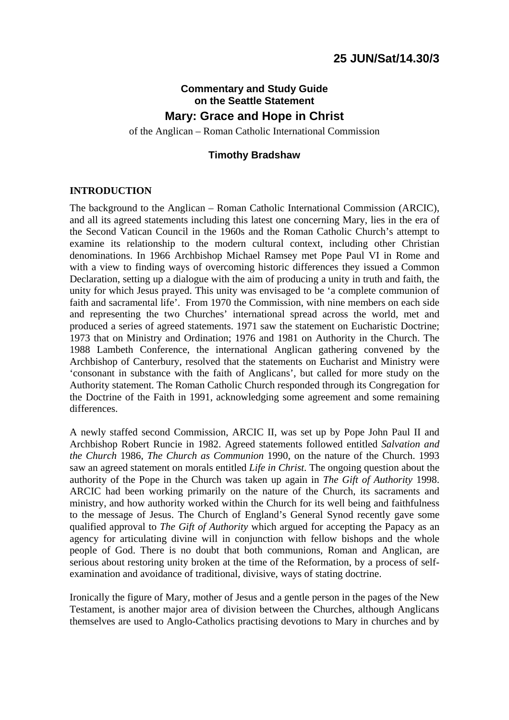# **Commentary and Study Guide on the Seattle Statement**

## **Mary: Grace and Hope in Christ**

of the Anglican – Roman Catholic International Commission

### **Timothy Bradshaw**

## **INTRODUCTION**

The background to the Anglican – Roman Catholic International Commission (ARCIC), and all its agreed statements including this latest one concerning Mary, lies in the era of the Second Vatican Council in the 1960s and the Roman Catholic Church's attempt to examine its relationship to the modern cultural context, including other Christian denominations. In 1966 Archbishop Michael Ramsey met Pope Paul VI in Rome and with a view to finding ways of overcoming historic differences they issued a Common Declaration, setting up a dialogue with the aim of producing a unity in truth and faith, the unity for which Jesus prayed. This unity was envisaged to be 'a complete communion of faith and sacramental life'. From 1970 the Commission, with nine members on each side and representing the two Churches' international spread across the world, met and produced a series of agreed statements. 1971 saw the statement on Eucharistic Doctrine; 1973 that on Ministry and Ordination; 1976 and 1981 on Authority in the Church. The 1988 Lambeth Conference, the international Anglican gathering convened by the Archbishop of Canterbury, resolved that the statements on Eucharist and Ministry were 'consonant in substance with the faith of Anglicans', but called for more study on the Authority statement. The Roman Catholic Church responded through its Congregation for the Doctrine of the Faith in 1991, acknowledging some agreement and some remaining differences.

A newly staffed second Commission, ARCIC II, was set up by Pope John Paul II and Archbishop Robert Runcie in 1982. Agreed statements followed entitled *Salvation and the Church* 1986, *The Church as Communion* 1990, on the nature of the Church. 1993 saw an agreed statement on morals entitled *Life in Christ*. The ongoing question about the authority of the Pope in the Church was taken up again in *The Gift of Authority* 1998. ARCIC had been working primarily on the nature of the Church, its sacraments and ministry, and how authority worked within the Church for its well being and faithfulness to the message of Jesus. The Church of England's General Synod recently gave some qualified approval to *The Gift of Authority* which argued for accepting the Papacy as an agency for articulating divine will in conjunction with fellow bishops and the whole people of God. There is no doubt that both communions, Roman and Anglican, are serious about restoring unity broken at the time of the Reformation, by a process of selfexamination and avoidance of traditional, divisive, ways of stating doctrine.

Ironically the figure of Mary, mother of Jesus and a gentle person in the pages of the New Testament, is another major area of division between the Churches, although Anglicans themselves are used to Anglo-Catholics practising devotions to Mary in churches and by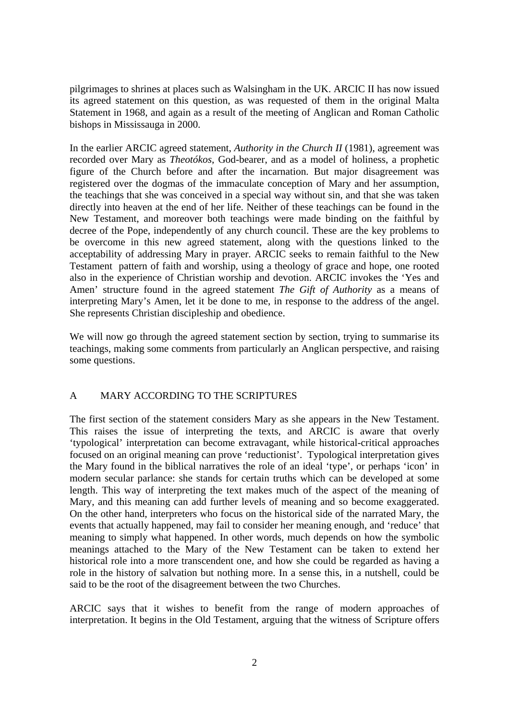pilgrimages to shrines at places such as Walsingham in the UK. ARCIC II has now issued its agreed statement on this question, as was requested of them in the original Malta Statement in 1968, and again as a result of the meeting of Anglican and Roman Catholic bishops in Mississauga in 2000.

In the earlier ARCIC agreed statement, *Authority in the Church II* (1981), agreement was recorded over Mary as *Theotókos*, God-bearer, and as a model of holiness, a prophetic figure of the Church before and after the incarnation. But major disagreement was registered over the dogmas of the immaculate conception of Mary and her assumption, the teachings that she was conceived in a special way without sin, and that she was taken directly into heaven at the end of her life. Neither of these teachings can be found in the New Testament, and moreover both teachings were made binding on the faithful by decree of the Pope, independently of any church council. These are the key problems to be overcome in this new agreed statement, along with the questions linked to the acceptability of addressing Mary in prayer. ARCIC seeks to remain faithful to the New Testament pattern of faith and worship, using a theology of grace and hope, one rooted also in the experience of Christian worship and devotion. ARCIC invokes the 'Yes and Amen' structure found in the agreed statement *The Gift of Authority* as a means of interpreting Mary's Amen, let it be done to me, in response to the address of the angel. She represents Christian discipleship and obedience.

We will now go through the agreed statement section by section, trying to summarise its teachings, making some comments from particularly an Anglican perspective, and raising some questions.

#### A MARY ACCORDING TO THE SCRIPTURES

The first section of the statement considers Mary as she appears in the New Testament. This raises the issue of interpreting the texts, and ARCIC is aware that overly 'typological' interpretation can become extravagant, while historical-critical approaches focused on an original meaning can prove 'reductionist'. Typological interpretation gives the Mary found in the biblical narratives the role of an ideal 'type', or perhaps 'icon' in modern secular parlance: she stands for certain truths which can be developed at some length. This way of interpreting the text makes much of the aspect of the meaning of Mary, and this meaning can add further levels of meaning and so become exaggerated. On the other hand, interpreters who focus on the historical side of the narrated Mary, the events that actually happened, may fail to consider her meaning enough, and 'reduce' that meaning to simply what happened. In other words, much depends on how the symbolic meanings attached to the Mary of the New Testament can be taken to extend her historical role into a more transcendent one, and how she could be regarded as having a role in the history of salvation but nothing more. In a sense this, in a nutshell, could be said to be the root of the disagreement between the two Churches.

ARCIC says that it wishes to benefit from the range of modern approaches of interpretation. It begins in the Old Testament, arguing that the witness of Scripture offers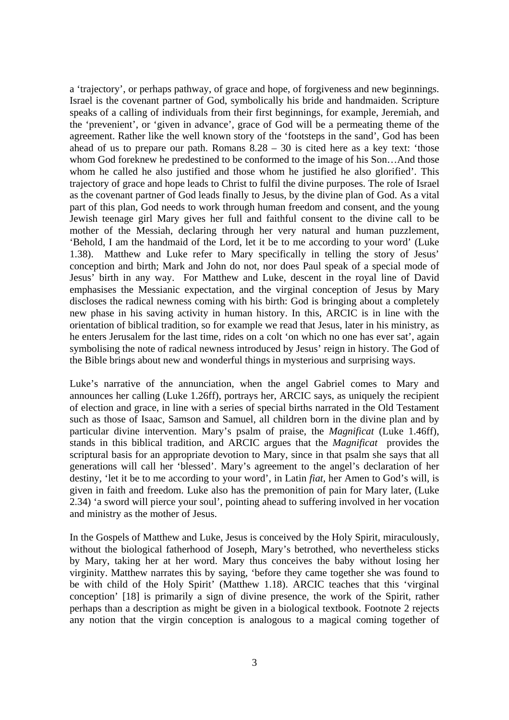a 'trajectory', or perhaps pathway, of grace and hope, of forgiveness and new beginnings. Israel is the covenant partner of God, symbolically his bride and handmaiden. Scripture speaks of a calling of individuals from their first beginnings, for example, Jeremiah, and the 'prevenient', or 'given in advance', grace of God will be a permeating theme of the agreement. Rather like the well known story of the 'footsteps in the sand', God has been ahead of us to prepare our path. Romans  $8.28 - 30$  is cited here as a key text: 'those whom God foreknew he predestined to be conformed to the image of his Son...And those whom he called he also justified and those whom he justified he also glorified'. This trajectory of grace and hope leads to Christ to fulfil the divine purposes. The role of Israel as the covenant partner of God leads finally to Jesus, by the divine plan of God. As a vital part of this plan, God needs to work through human freedom and consent, and the young Jewish teenage girl Mary gives her full and faithful consent to the divine call to be mother of the Messiah, declaring through her very natural and human puzzlement, 'Behold, I am the handmaid of the Lord, let it be to me according to your word' (Luke 1.38). Matthew and Luke refer to Mary specifically in telling the story of Jesus' conception and birth; Mark and John do not, nor does Paul speak of a special mode of Jesus' birth in any way. For Matthew and Luke, descent in the royal line of David emphasises the Messianic expectation, and the virginal conception of Jesus by Mary discloses the radical newness coming with his birth: God is bringing about a completely new phase in his saving activity in human history. In this, ARCIC is in line with the orientation of biblical tradition, so for example we read that Jesus, later in his ministry, as he enters Jerusalem for the last time, rides on a colt 'on which no one has ever sat', again symbolising the note of radical newness introduced by Jesus' reign in history. The God of the Bible brings about new and wonderful things in mysterious and surprising ways.

Luke's narrative of the annunciation, when the angel Gabriel comes to Mary and announces her calling (Luke 1.26ff), portrays her, ARCIC says, as uniquely the recipient of election and grace, in line with a series of special births narrated in the Old Testament such as those of Isaac, Samson and Samuel, all children born in the divine plan and by particular divine intervention. Mary's psalm of praise, the *Magnificat* (Luke 1.46ff), stands in this biblical tradition, and ARCIC argues that the *Magnificat* provides the scriptural basis for an appropriate devotion to Mary, since in that psalm she says that all generations will call her 'blessed'. Mary's agreement to the angel's declaration of her destiny, 'let it be to me according to your word', in Latin *fiat*, her Amen to God's will, is given in faith and freedom. Luke also has the premonition of pain for Mary later, (Luke 2.34) 'a sword will pierce your soul', pointing ahead to suffering involved in her vocation and ministry as the mother of Jesus.

In the Gospels of Matthew and Luke, Jesus is conceived by the Holy Spirit, miraculously, without the biological fatherhood of Joseph, Mary's betrothed, who nevertheless sticks by Mary, taking her at her word. Mary thus conceives the baby without losing her virginity. Matthew narrates this by saying, 'before they came together she was found to be with child of the Holy Spirit' (Matthew 1.18). ARCIC teaches that this 'virginal conception' [18] is primarily a sign of divine presence, the work of the Spirit, rather perhaps than a description as might be given in a biological textbook. Footnote 2 rejects any notion that the virgin conception is analogous to a magical coming together of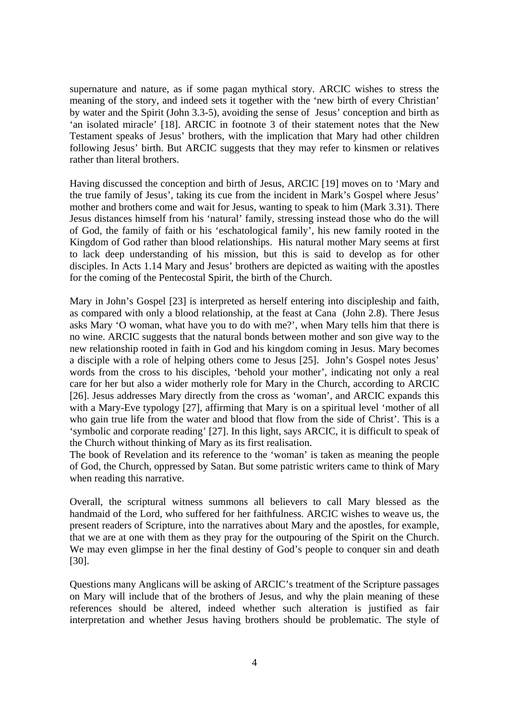supernature and nature, as if some pagan mythical story. ARCIC wishes to stress the meaning of the story, and indeed sets it together with the 'new birth of every Christian' by water and the Spirit (John 3.3-5), avoiding the sense of Jesus' conception and birth as 'an isolated miracle' [18]. ARCIC in footnote 3 of their statement notes that the New Testament speaks of Jesus' brothers, with the implication that Mary had other children following Jesus' birth. But ARCIC suggests that they may refer to kinsmen or relatives rather than literal brothers.

Having discussed the conception and birth of Jesus, ARCIC [19] moves on to 'Mary and the true family of Jesus', taking its cue from the incident in Mark's Gospel where Jesus' mother and brothers come and wait for Jesus, wanting to speak to him (Mark 3.31). There Jesus distances himself from his 'natural' family, stressing instead those who do the will of God, the family of faith or his 'eschatological family', his new family rooted in the Kingdom of God rather than blood relationships. His natural mother Mary seems at first to lack deep understanding of his mission, but this is said to develop as for other disciples. In Acts 1.14 Mary and Jesus' brothers are depicted as waiting with the apostles for the coming of the Pentecostal Spirit, the birth of the Church.

Mary in John's Gospel [23] is interpreted as herself entering into discipleship and faith, as compared with only a blood relationship, at the feast at Cana (John 2.8). There Jesus asks Mary 'O woman, what have you to do with me?', when Mary tells him that there is no wine. ARCIC suggests that the natural bonds between mother and son give way to the new relationship rooted in faith in God and his kingdom coming in Jesus. Mary becomes a disciple with a role of helping others come to Jesus [25]. John's Gospel notes Jesus' words from the cross to his disciples, 'behold your mother', indicating not only a real care for her but also a wider motherly role for Mary in the Church, according to ARCIC [26]. Jesus addresses Mary directly from the cross as 'woman', and ARCIC expands this with a Mary-Eve typology [27], affirming that Mary is on a spiritual level 'mother of all who gain true life from the water and blood that flow from the side of Christ'. This is a 'symbolic and corporate reading' [27]. In this light, says ARCIC, it is difficult to speak of the Church without thinking of Mary as its first realisation.

The book of Revelation and its reference to the 'woman' is taken as meaning the people of God, the Church, oppressed by Satan. But some patristic writers came to think of Mary when reading this narrative.

Overall, the scriptural witness summons all believers to call Mary blessed as the handmaid of the Lord, who suffered for her faithfulness. ARCIC wishes to weave us, the present readers of Scripture, into the narratives about Mary and the apostles, for example, that we are at one with them as they pray for the outpouring of the Spirit on the Church. We may even glimpse in her the final destiny of God's people to conquer sin and death [30].

Questions many Anglicans will be asking of ARCIC's treatment of the Scripture passages on Mary will include that of the brothers of Jesus, and why the plain meaning of these references should be altered, indeed whether such alteration is justified as fair interpretation and whether Jesus having brothers should be problematic. The style of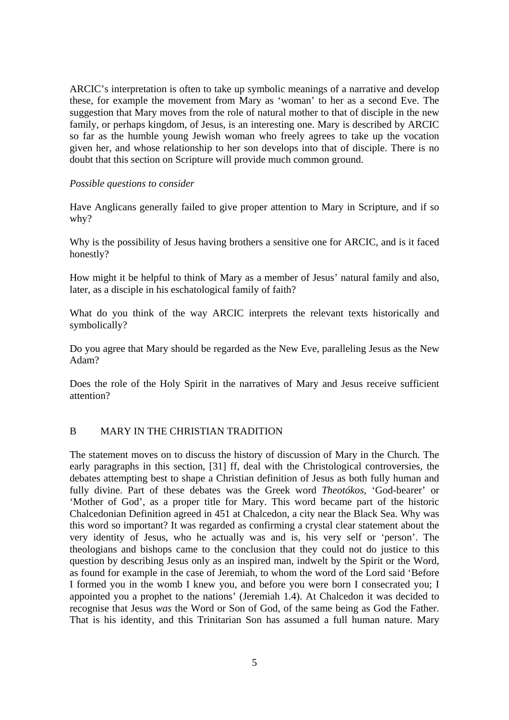ARCIC's interpretation is often to take up symbolic meanings of a narrative and develop these, for example the movement from Mary as 'woman' to her as a second Eve. The suggestion that Mary moves from the role of natural mother to that of disciple in the new family, or perhaps kingdom, of Jesus, is an interesting one. Mary is described by ARCIC so far as the humble young Jewish woman who freely agrees to take up the vocation given her, and whose relationship to her son develops into that of disciple. There is no doubt that this section on Scripture will provide much common ground.

#### *Possible questions to consider*

Have Anglicans generally failed to give proper attention to Mary in Scripture, and if so why?

Why is the possibility of Jesus having brothers a sensitive one for ARCIC, and is it faced honestly?

How might it be helpful to think of Mary as a member of Jesus' natural family and also, later, as a disciple in his eschatological family of faith?

What do you think of the way ARCIC interprets the relevant texts historically and symbolically?

Do you agree that Mary should be regarded as the New Eve, paralleling Jesus as the New Adam?

Does the role of the Holy Spirit in the narratives of Mary and Jesus receive sufficient attention?

## B MARY IN THE CHRISTIAN TRADITION

The statement moves on to discuss the history of discussion of Mary in the Church. The early paragraphs in this section, [31] ff, deal with the Christological controversies, the debates attempting best to shape a Christian definition of Jesus as both fully human and fully divine. Part of these debates was the Greek word *Theotókos*, 'God-bearer' or 'Mother of God', as a proper title for Mary. This word became part of the historic Chalcedonian Definition agreed in 451 at Chalcedon, a city near the Black Sea. Why was this word so important? It was regarded as confirming a crystal clear statement about the very identity of Jesus, who he actually was and is, his very self or 'person'. The theologians and bishops came to the conclusion that they could not do justice to this question by describing Jesus only as an inspired man, indwelt by the Spirit or the Word, as found for example in the case of Jeremiah, to whom the word of the Lord said 'Before I formed you in the womb I knew you, and before you were born I consecrated you; I appointed you a prophet to the nations' (Jeremiah 1.4). At Chalcedon it was decided to recognise that Jesus *was* the Word or Son of God, of the same being as God the Father. That is his identity, and this Trinitarian Son has assumed a full human nature. Mary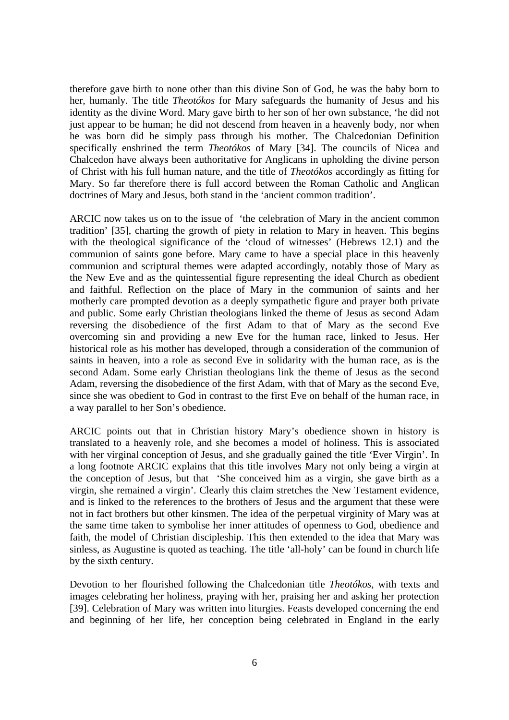therefore gave birth to none other than this divine Son of God, he was the baby born to her, humanly. The title *Theotókos* for Mary safeguards the humanity of Jesus and his identity as the divine Word. Mary gave birth to her son of her own substance, 'he did not just appear to be human; he did not descend from heaven in a heavenly body, nor when he was born did he simply pass through his mother. The Chalcedonian Definition specifically enshrined the term *Theotókos* of Mary [34]. The councils of Nicea and Chalcedon have always been authoritative for Anglicans in upholding the divine person of Christ with his full human nature, and the title of *Theotókos* accordingly as fitting for Mary. So far therefore there is full accord between the Roman Catholic and Anglican doctrines of Mary and Jesus, both stand in the 'ancient common tradition'.

ARCIC now takes us on to the issue of 'the celebration of Mary in the ancient common tradition' [35], charting the growth of piety in relation to Mary in heaven. This begins with the theological significance of the 'cloud of witnesses' (Hebrews 12.1) and the communion of saints gone before. Mary came to have a special place in this heavenly communion and scriptural themes were adapted accordingly, notably those of Mary as the New Eve and as the quintessential figure representing the ideal Church as obedient and faithful. Reflection on the place of Mary in the communion of saints and her motherly care prompted devotion as a deeply sympathetic figure and prayer both private and public. Some early Christian theologians linked the theme of Jesus as second Adam reversing the disobedience of the first Adam to that of Mary as the second Eve overcoming sin and providing a new Eve for the human race, linked to Jesus. Her historical role as his mother has developed, through a consideration of the communion of saints in heaven, into a role as second Eve in solidarity with the human race, as is the second Adam. Some early Christian theologians link the theme of Jesus as the second Adam, reversing the disobedience of the first Adam, with that of Mary as the second Eve, since she was obedient to God in contrast to the first Eve on behalf of the human race, in a way parallel to her Son's obedience.

ARCIC points out that in Christian history Mary's obedience shown in history is translated to a heavenly role, and she becomes a model of holiness. This is associated with her virginal conception of Jesus, and she gradually gained the title 'Ever Virgin'. In a long footnote ARCIC explains that this title involves Mary not only being a virgin at the conception of Jesus, but that 'She conceived him as a virgin, she gave birth as a virgin, she remained a virgin'. Clearly this claim stretches the New Testament evidence, and is linked to the references to the brothers of Jesus and the argument that these were not in fact brothers but other kinsmen. The idea of the perpetual virginity of Mary was at the same time taken to symbolise her inner attitudes of openness to God, obedience and faith, the model of Christian discipleship. This then extended to the idea that Mary was sinless, as Augustine is quoted as teaching. The title 'all-holy' can be found in church life by the sixth century.

Devotion to her flourished following the Chalcedonian title *Theotókos*, with texts and images celebrating her holiness, praying with her, praising her and asking her protection [39]. Celebration of Mary was written into liturgies. Feasts developed concerning the end and beginning of her life, her conception being celebrated in England in the early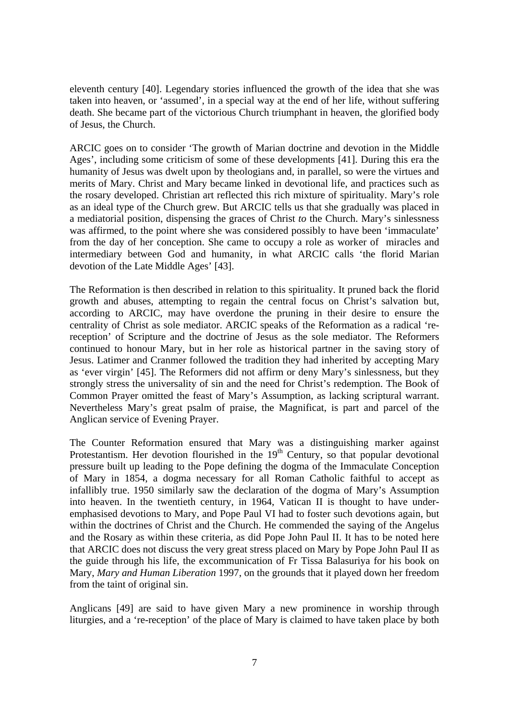eleventh century [40]. Legendary stories influenced the growth of the idea that she was taken into heaven, or 'assumed', in a special way at the end of her life, without suffering death. She became part of the victorious Church triumphant in heaven, the glorified body of Jesus, the Church.

ARCIC goes on to consider 'The growth of Marian doctrine and devotion in the Middle Ages', including some criticism of some of these developments [41]. During this era the humanity of Jesus was dwelt upon by theologians and, in parallel, so were the virtues and merits of Mary. Christ and Mary became linked in devotional life, and practices such as the rosary developed. Christian art reflected this rich mixture of spirituality. Mary's role as an ideal type of the Church grew. But ARCIC tells us that she gradually was placed in a mediatorial position, dispensing the graces of Christ *to* the Church. Mary's sinlessness was affirmed, to the point where she was considered possibly to have been 'immaculate' from the day of her conception. She came to occupy a role as worker of miracles and intermediary between God and humanity, in what ARCIC calls 'the florid Marian devotion of the Late Middle Ages' [43].

The Reformation is then described in relation to this spirituality. It pruned back the florid growth and abuses, attempting to regain the central focus on Christ's salvation but, according to ARCIC, may have overdone the pruning in their desire to ensure the centrality of Christ as sole mediator. ARCIC speaks of the Reformation as a radical 'rereception' of Scripture and the doctrine of Jesus as the sole mediator. The Reformers continued to honour Mary, but in her role as historical partner in the saving story of Jesus. Latimer and Cranmer followed the tradition they had inherited by accepting Mary as 'ever virgin' [45]. The Reformers did not affirm or deny Mary's sinlessness, but they strongly stress the universality of sin and the need for Christ's redemption. The Book of Common Prayer omitted the feast of Mary's Assumption, as lacking scriptural warrant. Nevertheless Mary's great psalm of praise, the Magnificat, is part and parcel of the Anglican service of Evening Prayer.

The Counter Reformation ensured that Mary was a distinguishing marker against Protestantism. Her devotion flourished in the  $19<sup>th</sup>$  Century, so that popular devotional pressure built up leading to the Pope defining the dogma of the Immaculate Conception of Mary in 1854, a dogma necessary for all Roman Catholic faithful to accept as infallibly true. 1950 similarly saw the declaration of the dogma of Mary's Assumption into heaven. In the twentieth century, in 1964, Vatican II is thought to have underemphasised devotions to Mary, and Pope Paul VI had to foster such devotions again, but within the doctrines of Christ and the Church. He commended the saying of the Angelus and the Rosary as within these criteria, as did Pope John Paul II. It has to be noted here that ARCIC does not discuss the very great stress placed on Mary by Pope John Paul II as the guide through his life, the excommunication of Fr Tissa Balasuriya for his book on Mary, *Mary and Human Liberation* 1997, on the grounds that it played down her freedom from the taint of original sin.

Anglicans [49] are said to have given Mary a new prominence in worship through liturgies, and a 're-reception' of the place of Mary is claimed to have taken place by both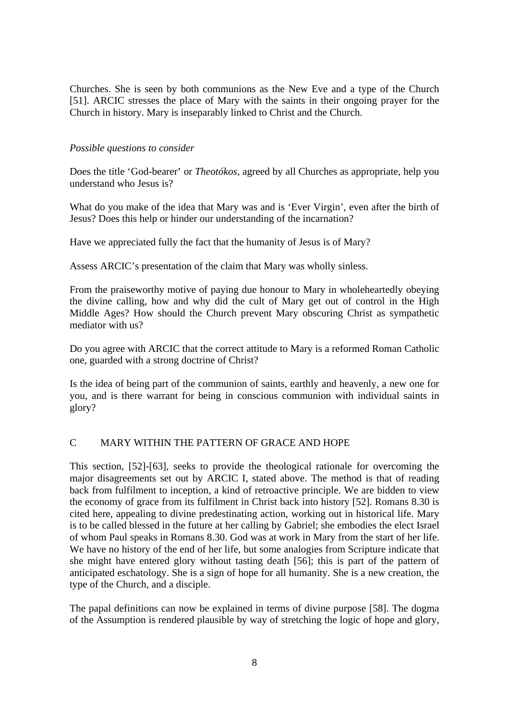Churches. She is seen by both communions as the New Eve and a type of the Church [51]. ARCIC stresses the place of Mary with the saints in their ongoing prayer for the Church in history. Mary is inseparably linked to Christ and the Church.

#### *Possible questions to consider*

Does the title 'God-bearer' or *Theotókos*, agreed by all Churches as appropriate, help you understand who Jesus is?

What do you make of the idea that Mary was and is 'Ever Virgin', even after the birth of Jesus? Does this help or hinder our understanding of the incarnation?

Have we appreciated fully the fact that the humanity of Jesus is of Mary?

Assess ARCIC's presentation of the claim that Mary was wholly sinless.

From the praiseworthy motive of paying due honour to Mary in wholeheartedly obeying the divine calling, how and why did the cult of Mary get out of control in the High Middle Ages? How should the Church prevent Mary obscuring Christ as sympathetic mediator with us?

Do you agree with ARCIC that the correct attitude to Mary is a reformed Roman Catholic one, guarded with a strong doctrine of Christ?

Is the idea of being part of the communion of saints, earthly and heavenly, a new one for you, and is there warrant for being in conscious communion with individual saints in glory?

## C MARY WITHIN THE PATTERN OF GRACE AND HOPE

This section, [52]-[63], seeks to provide the theological rationale for overcoming the major disagreements set out by ARCIC I, stated above. The method is that of reading back from fulfilment to inception, a kind of retroactive principle. We are bidden to view the economy of grace from its fulfilment in Christ back into history [52]. Romans 8.30 is cited here, appealing to divine predestinating action, working out in historical life. Mary is to be called blessed in the future at her calling by Gabriel; she embodies the elect Israel of whom Paul speaks in Romans 8.30. God was at work in Mary from the start of her life. We have no history of the end of her life, but some analogies from Scripture indicate that she might have entered glory without tasting death [56]; this is part of the pattern of anticipated eschatology. She is a sign of hope for all humanity. She is a new creation, the type of the Church, and a disciple.

The papal definitions can now be explained in terms of divine purpose [58]. The dogma of the Assumption is rendered plausible by way of stretching the logic of hope and glory,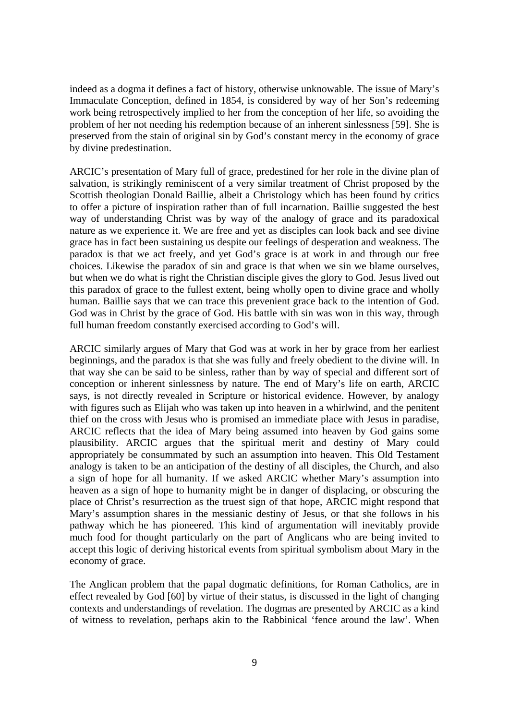indeed as a dogma it defines a fact of history, otherwise unknowable. The issue of Mary's Immaculate Conception, defined in 1854, is considered by way of her Son's redeeming work being retrospectively implied to her from the conception of her life, so avoiding the problem of her not needing his redemption because of an inherent sinlessness [59]. She is preserved from the stain of original sin by God's constant mercy in the economy of grace by divine predestination.

ARCIC's presentation of Mary full of grace, predestined for her role in the divine plan of salvation, is strikingly reminiscent of a very similar treatment of Christ proposed by the Scottish theologian Donald Baillie, albeit a Christology which has been found by critics to offer a picture of inspiration rather than of full incarnation. Baillie suggested the best way of understanding Christ was by way of the analogy of grace and its paradoxical nature as we experience it. We are free and yet as disciples can look back and see divine grace has in fact been sustaining us despite our feelings of desperation and weakness. The paradox is that we act freely, and yet God's grace is at work in and through our free choices. Likewise the paradox of sin and grace is that when we sin we blame ourselves, but when we do what is right the Christian disciple gives the glory to God. Jesus lived out this paradox of grace to the fullest extent, being wholly open to divine grace and wholly human. Baillie says that we can trace this prevenient grace back to the intention of God. God was in Christ by the grace of God. His battle with sin was won in this way, through full human freedom constantly exercised according to God's will.

ARCIC similarly argues of Mary that God was at work in her by grace from her earliest beginnings, and the paradox is that she was fully and freely obedient to the divine will. In that way she can be said to be sinless, rather than by way of special and different sort of conception or inherent sinlessness by nature. The end of Mary's life on earth, ARCIC says, is not directly revealed in Scripture or historical evidence. However, by analogy with figures such as Elijah who was taken up into heaven in a whirlwind, and the penitent thief on the cross with Jesus who is promised an immediate place with Jesus in paradise, ARCIC reflects that the idea of Mary being assumed into heaven by God gains some plausibility. ARCIC argues that the spiritual merit and destiny of Mary could appropriately be consummated by such an assumption into heaven. This Old Testament analogy is taken to be an anticipation of the destiny of all disciples, the Church, and also a sign of hope for all humanity. If we asked ARCIC whether Mary's assumption into heaven as a sign of hope to humanity might be in danger of displacing, or obscuring the place of Christ's resurrection as the truest sign of that hope, ARCIC might respond that Mary's assumption shares in the messianic destiny of Jesus, or that she follows in his pathway which he has pioneered. This kind of argumentation will inevitably provide much food for thought particularly on the part of Anglicans who are being invited to accept this logic of deriving historical events from spiritual symbolism about Mary in the economy of grace.

The Anglican problem that the papal dogmatic definitions, for Roman Catholics, are in effect revealed by God [60] by virtue of their status, is discussed in the light of changing contexts and understandings of revelation. The dogmas are presented by ARCIC as a kind of witness to revelation, perhaps akin to the Rabbinical 'fence around the law'. When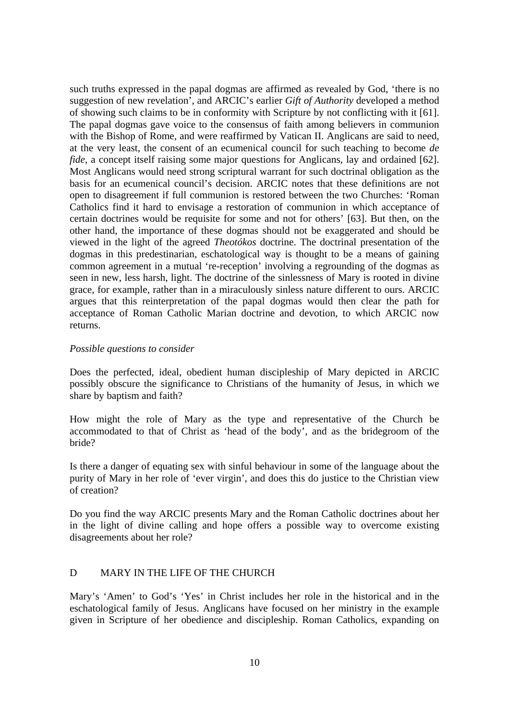such truths expressed in the papal dogmas are affirmed as revealed by God, 'there is no suggestion of new revelation', and ARCIC's earlier *Gift of Authority* developed a method of showing such claims to be in conformity with Scripture by not conflicting with it [61]. The papal dogmas gave voice to the consensus of faith among believers in communion with the Bishop of Rome, and were reaffirmed by Vatican II. Anglicans are said to need, at the very least, the consent of an ecumenical council for such teaching to become *de fide*, a concept itself raising some major questions for Anglicans, lay and ordained [62]. Most Anglicans would need strong scriptural warrant for such doctrinal obligation as the basis for an ecumenical council's decision. ARCIC notes that these definitions are not open to disagreement if full communion is restored between the two Churches: 'Roman Catholics find it hard to envisage a restoration of communion in which acceptance of certain doctrines would be requisite for some and not for others' [63]. But then, on the other hand, the importance of these dogmas should not be exaggerated and should be viewed in the light of the agreed *Theotókos* doctrine. The doctrinal presentation of the dogmas in this predestinarian, eschatological way is thought to be a means of gaining common agreement in a mutual 're-reception' involving a regrounding of the dogmas as seen in new, less harsh, light. The doctrine of the sinlessness of Mary is rooted in divine grace, for example, rather than in a miraculously sinless nature different to ours. ARCIC argues that this reinterpretation of the papal dogmas would then clear the path for acceptance of Roman Catholic Marian doctrine and devotion, to which ARCIC now returns.

#### *Possible questions to consider*

Does the perfected, ideal, obedient human discipleship of Mary depicted in ARCIC possibly obscure the significance to Christians of the humanity of Jesus, in which we share by baptism and faith?

How might the role of Mary as the type and representative of the Church be accommodated to that of Christ as 'head of the body', and as the bridegroom of the bride?

Is there a danger of equating sex with sinful behaviour in some of the language about the purity of Mary in her role of 'ever virgin', and does this do justice to the Christian view of creation?

Do you find the way ARCIC presents Mary and the Roman Catholic doctrines about her in the light of divine calling and hope offers a possible way to overcome existing disagreements about her role?

#### D MARY IN THE LIFE OF THE CHURCH

Mary's 'Amen' to God's 'Yes' in Christ includes her role in the historical and in the eschatological family of Jesus. Anglicans have focused on her ministry in the example given in Scripture of her obedience and discipleship. Roman Catholics, expanding on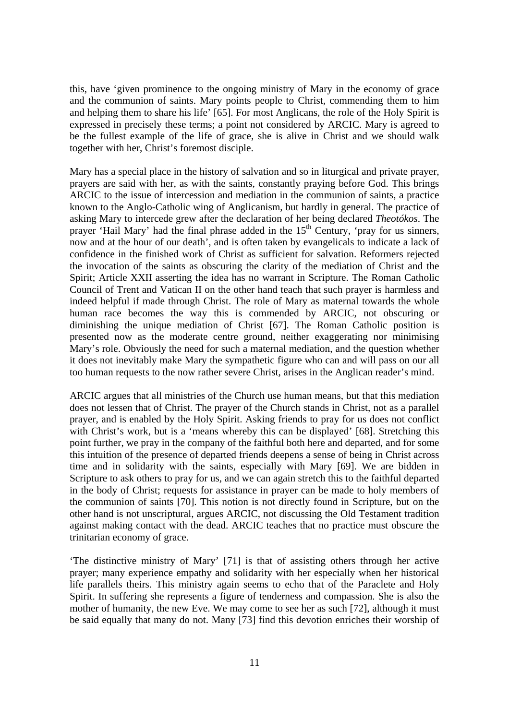this, have 'given prominence to the ongoing ministry of Mary in the economy of grace and the communion of saints. Mary points people to Christ, commending them to him and helping them to share his life' [65]. For most Anglicans, the role of the Holy Spirit is expressed in precisely these terms; a point not considered by ARCIC. Mary is agreed to be the fullest example of the life of grace, she is alive in Christ and we should walk together with her, Christ's foremost disciple.

Mary has a special place in the history of salvation and so in liturgical and private prayer, prayers are said with her, as with the saints, constantly praying before God. This brings ARCIC to the issue of intercession and mediation in the communion of saints, a practice known to the Anglo-Catholic wing of Anglicanism, but hardly in general. The practice of asking Mary to intercede grew after the declaration of her being declared *Theotókos*. The prayer 'Hail Mary' had the final phrase added in the 15<sup>th</sup> Century, 'pray for us sinners, now and at the hour of our death', and is often taken by evangelicals to indicate a lack of confidence in the finished work of Christ as sufficient for salvation. Reformers rejected the invocation of the saints as obscuring the clarity of the mediation of Christ and the Spirit; Article XXII asserting the idea has no warrant in Scripture. The Roman Catholic Council of Trent and Vatican II on the other hand teach that such prayer is harmless and indeed helpful if made through Christ. The role of Mary as maternal towards the whole human race becomes the way this is commended by ARCIC, not obscuring or diminishing the unique mediation of Christ [67]. The Roman Catholic position is presented now as the moderate centre ground, neither exaggerating nor minimising Mary's role. Obviously the need for such a maternal mediation, and the question whether it does not inevitably make Mary the sympathetic figure who can and will pass on our all too human requests to the now rather severe Christ, arises in the Anglican reader's mind.

ARCIC argues that all ministries of the Church use human means, but that this mediation does not lessen that of Christ. The prayer of the Church stands in Christ, not as a parallel prayer, and is enabled by the Holy Spirit. Asking friends to pray for us does not conflict with Christ's work, but is a 'means whereby this can be displayed' [68]. Stretching this point further, we pray in the company of the faithful both here and departed, and for some this intuition of the presence of departed friends deepens a sense of being in Christ across time and in solidarity with the saints, especially with Mary [69]. We are bidden in Scripture to ask others to pray for us, and we can again stretch this to the faithful departed in the body of Christ; requests for assistance in prayer can be made to holy members of the communion of saints [70]. This notion is not directly found in Scripture, but on the other hand is not unscriptural, argues ARCIC, not discussing the Old Testament tradition against making contact with the dead. ARCIC teaches that no practice must obscure the trinitarian economy of grace.

'The distinctive ministry of Mary' [71] is that of assisting others through her active prayer; many experience empathy and solidarity with her especially when her historical life parallels theirs. This ministry again seems to echo that of the Paraclete and Holy Spirit. In suffering she represents a figure of tenderness and compassion. She is also the mother of humanity, the new Eve. We may come to see her as such [72], although it must be said equally that many do not. Many [73] find this devotion enriches their worship of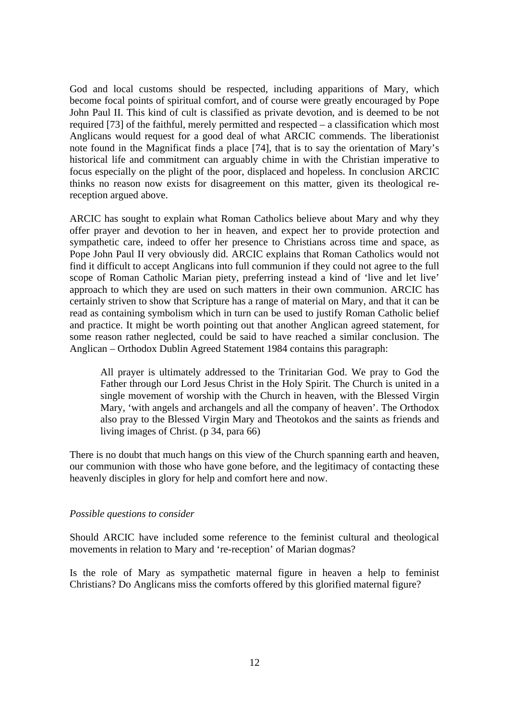God and local customs should be respected, including apparitions of Mary, which become focal points of spiritual comfort, and of course were greatly encouraged by Pope John Paul II. This kind of cult is classified as private devotion, and is deemed to be not required [73] of the faithful, merely permitted and respected – a classification which most Anglicans would request for a good deal of what ARCIC commends. The liberationist note found in the Magnificat finds a place [74], that is to say the orientation of Mary's historical life and commitment can arguably chime in with the Christian imperative to focus especially on the plight of the poor, displaced and hopeless. In conclusion ARCIC thinks no reason now exists for disagreement on this matter, given its theological rereception argued above.

ARCIC has sought to explain what Roman Catholics believe about Mary and why they offer prayer and devotion to her in heaven, and expect her to provide protection and sympathetic care, indeed to offer her presence to Christians across time and space, as Pope John Paul II very obviously did. ARCIC explains that Roman Catholics would not find it difficult to accept Anglicans into full communion if they could not agree to the full scope of Roman Catholic Marian piety, preferring instead a kind of 'live and let live' approach to which they are used on such matters in their own communion. ARCIC has certainly striven to show that Scripture has a range of material on Mary, and that it can be read as containing symbolism which in turn can be used to justify Roman Catholic belief and practice. It might be worth pointing out that another Anglican agreed statement, for some reason rather neglected, could be said to have reached a similar conclusion. The Anglican – Orthodox Dublin Agreed Statement 1984 contains this paragraph:

All prayer is ultimately addressed to the Trinitarian God. We pray to God the Father through our Lord Jesus Christ in the Holy Spirit. The Church is united in a single movement of worship with the Church in heaven, with the Blessed Virgin Mary, 'with angels and archangels and all the company of heaven'. The Orthodox also pray to the Blessed Virgin Mary and Theotokos and the saints as friends and living images of Christ. (p 34, para 66)

There is no doubt that much hangs on this view of the Church spanning earth and heaven, our communion with those who have gone before, and the legitimacy of contacting these heavenly disciples in glory for help and comfort here and now.

#### *Possible questions to consider*

Should ARCIC have included some reference to the feminist cultural and theological movements in relation to Mary and 're-reception' of Marian dogmas?

Is the role of Mary as sympathetic maternal figure in heaven a help to feminist Christians? Do Anglicans miss the comforts offered by this glorified maternal figure?